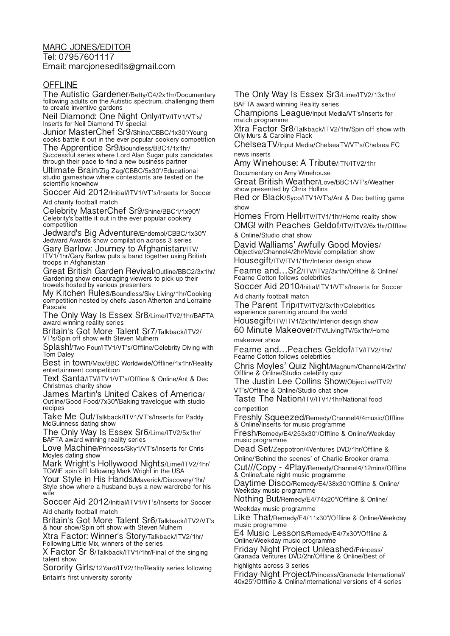## MARC JONES/EDITOR

Tel: 07957601117 Email: marcjonesedits@gmail.com

## **OFFLINE**

The Autistic Gardener/Betty/C4/2x1hr/Documentary following adults on the Autistic spectrum, challenging them to create inventive gardens

Neil Diamond: One Night Only/ITV/ITV1/VT's/ Inserts for Neil Diamond TV special

Junior MasterChef Sr9/Shine/CBBC/1x30"/Young cooks battle it out in the ever popular cookery competition

The Apprentice Sr9/Boundless/BBC1/1x1hr/ Successful series where Lord Alan Sugar puts candidates through their pace to find a new business partner

Ultimate Brain/Zig Zag/CBBC/5x30"/Educational studio gameshow where contestants are tested on the scientific knowhow

Soccer Aid 2012/Initial/ITV1/VT's/Inserts for Soccer Aid charity football match

Celebrity MasterChef Sr9/Shine/BBC1/1x90"/ Celebrity's battle it out in the ever popular cookery competition

Jedward's Big Adventure/Endemol/CBBC/1x30"/ Jedward Awards show compilation across 3 series

Gary Barlow: Journey to Afghanistan/ITV/ ITV1/1hr/Gary Barlow puts a band together using British troops in Afghanistan

Great British Garden Revival/Outline/BBC2/3x1hr/ Gardening show encouraging viewers to pick up their trowels hosted by various presenters

My Kitchen Rules/Boundless/Sky Living/1hr/Cooking competition hosted by chefs Jason Atherton and Lorraine Pascale

The Only Way Is Essex Sr8/Lime/ITV2/1hr/BAFTA award winning reality series

Britain's Got More Talent Sr7/Talkback/ITV2/ VT's/Spin off show with Steven Mulhern

Splash!/Two Four/ITV1/VT's/Offline/Celebrity Diving with Tom Daley

Best in town/Mox/BBC Worldwide/Offline/1x1hr/Reality entertainment competition

Text Santa/ITV/ITV1/VT's/Offline & Online/Ant & Dec Christmas charity show

James Martin's United Cakes of America/ Outline/Good Food/7x30"/Baking travelogue with studio recipes

Take Me Out/Talkback/ITV1/VT's/Inserts for Paddy McGuinness dating show

The Only Way Is Essex Sr6/Lime/ITV2/5x1hr/ BAFTA award winning reality series

Love Machine/Princess/Sky1/VT's/Inserts for Chris Moyles dating show

Mark Wright's Hollywood Nights/Lime/ITV2/1hr/ TOWIE spin off following Mark Wright in the USA

Your Style in His Hands/Maverick/Discovery/1hr/ Style show where a husband buys a new wardrobe for his wife

Soccer Aid 2012/Initial/ITV1/VT's/Inserts for Soccer Aid charity football match

Britain's Got More Talent Sr6/Talkback/ITV2/VT's & hour show/Spin off show with Steven Mulhern

Xtra Factor: Winner's Story/Talkback/ITV2/1hr/ Following Little Mix, winners of the series

X Factor Sr 8/Talkback/ITV1/1hr/Final of the singing talent show

Sorority Girls/12Yard/ITV2/1hr/Reality series following Britain's first university sorority

The Only Way Is Essex Sr3/Lime/ITV2/13x1hr/ BAFTA award winning Reality series

Champions League/Input Media/VT's/Inserts for match programme

Xtra Factor Sr8/Talkback/ITV2/1hr/Spin off show with Olly Murs & Caroline Flack

ChelseaTV/Input Media/ChelseaTV/VT's/Chelsea FC news inserts

Amy Winehouse: A Tribute/ITN/ITV2/1hr

Documentary on Amy Winehouse

Great British Weather/Love/BBC1/VT's/Weather show presented by Chris Hollins

Red or Black/Syco/ITV1/VT's/Ant & Dec betting game show

Homes From Hell/ITV/ITV1/1hr/Home reality show OMG! with Peaches Geldof/ITV/ITV2/6x1hr/Offline

& Online/Studio chat show

David Walliams' Awfully Good Movies/ Objective/Channel4/2hr/Movie compilation show Housegift/ITV/ITV1/1hr/Interior design show

Fearne and…Sr2/ITV/ITV2/3x1hr/Offline & Online/ Fearne Cotton follows celebrities

Soccer Aid 2010/Initial/ITV1/VT's/Inserts for Soccer Aid charity football match

The Parent Trip/ITV/ITV2/3x1hr/Celebrities experience parenting around the world

Housegift/ITV/ITV1/2x1hr/Interior design show

60 Minute Makeover/ITV/LivingTV/5x1hr/Home makeover show

Fearne and…Peaches Geldof/ITV/ITV2/1hr/ Fearne Cotton follows celebrities

Chris Moyles' Quiz Night/Magnum/Channel4/2x1hr/ Offline & Online/Studio celebrity quiz

The Justin Lee Collins Show/Objective/ITV2/ VT's/Offline & Online/Studio chat show

Taste The Nation/ITV/ITV1/1hr/National food competition

Freshly Squeezed/Remedy/Channel4/4music/Offline & Online/Inserts for music programme

Fresh/Remedy/E4/253x30"/Offline & Online/Weekday music programme

Dead Set/Zeppotron/4Ventures DVD/1hr/Offline & Online/ʻBehind the scenes' of Charlie Brooker drama

Cut///Copy - 4Play/Remedy/Channel4/12mins/Offline & Online/Late night music programme

Daytime Disco/Remedy/E4/38x30"/Offline & Online/ Weekday music programme

Nothing But/Remedy/E4/74x20"/Offline & Online/ Weekday music programme

Like That/Remedy/E4/11x30"/Offline & Online/Weekday music programme

E4 Music Lessons/Remedy/E4/7x30"/Offline & Online/Weekday music programme

Friday Night Project Unleashed/Princess/ Granada Ventures DVD/2hr/Offline & Online/Best of highlights across 3 series

Friday Night Project/Princess/Granada International/ 40x25"/Offline & Online/International versions of 4 series